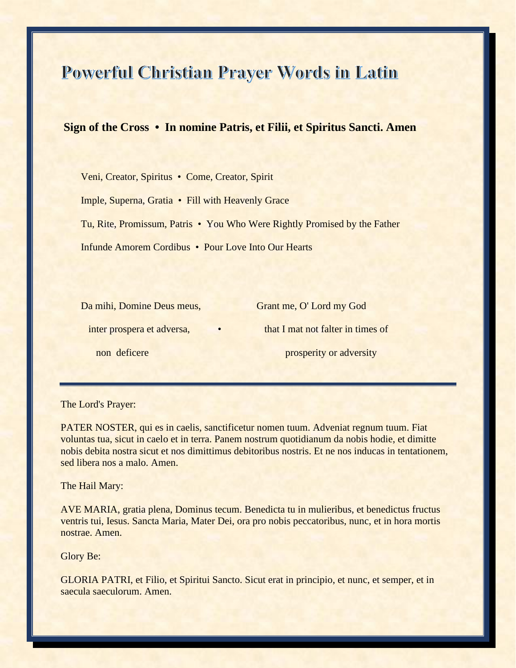## Powerful Christian Prayer Words in Latin

## **Sign of the Cross • In nomine Patris, et Filii, et Spiritus Sancti. Amen**

 Veni, Creator, Spiritus • Come, Creator, Spirit Imple, Superna, Gratia • Fill with Heavenly Grace Tu, Rite, Promissum, Patris • You Who Were Rightly Promised by the Father Infunde Amorem Cordibus • Pour Love Into Our Hearts

inter prospera et adversa, **•** that I mat not falter in times of non deficere prosperity or adversity

Da mihi, Domine Deus meus, Grant me, O' Lord my God

The Lord's Prayer:

PATER NOSTER, qui es in caelis, sanctificetur nomen tuum. Adveniat regnum tuum. Fiat voluntas tua, sicut in caelo et in terra. Panem nostrum quotidianum da nobis hodie, et dimitte nobis debita nostra sicut et nos dimittimus debitoribus nostris. Et ne nos inducas in tentationem, sed libera nos a malo. Amen.

The Hail Mary:

AVE MARIA, gratia plena, Dominus tecum. Benedicta tu in mulieribus, et benedictus fructus ventris tui, Iesus. Sancta Maria, Mater Dei, ora pro nobis peccatoribus, nunc, et in hora mortis nostrae. Amen.

Glory Be:

GLORIA PATRI, et Filio, et Spiritui Sancto. Sicut erat in principio, et nunc, et semper, et in saecula saeculorum. Amen.